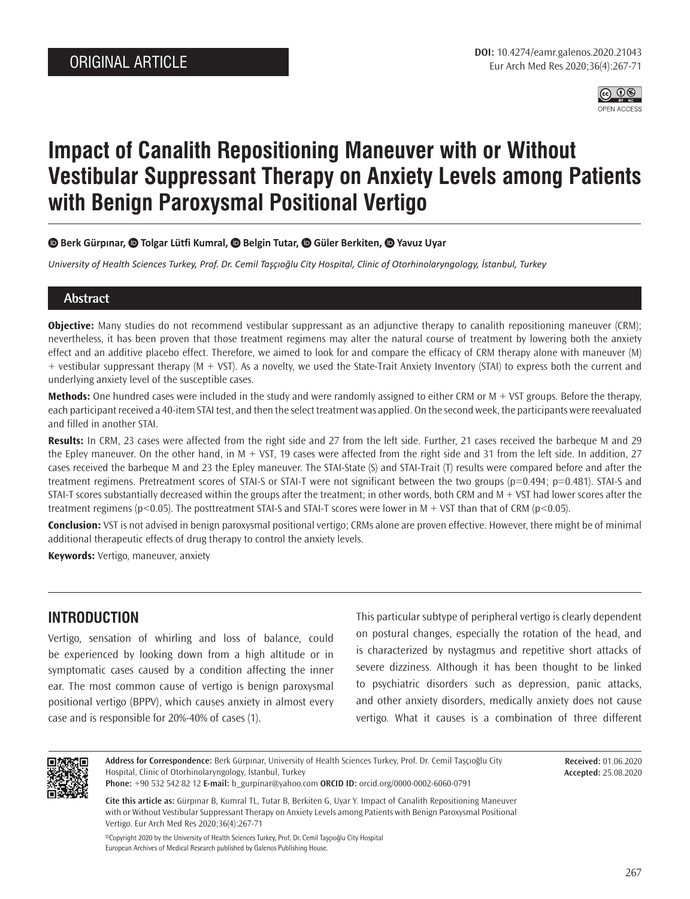

# **Impact of Canalith Repositioning Maneuver with or Without Vestibular Suppressant Therapy on Anxiety Levels among Patients with Benign Paroxysmal Positional Vertigo**

#### **<b>** $\bullet$  **Berk Gürpınar,**  $\bullet$  **Tolgar Lütfi Kumral,**  $\bullet$  **Belgin Tutar,**  $\bullet$  **Güler Berkiten,**  $\bullet$  **Yavuz Uyar**

*University of Health Sciences Turkey, Prof. Dr. Cemil Taşçıoğlu City Hospital, Clinic of Otorhinolaryngology, İstanbul, Turkey*

### **Abstract**

**Objective:** Many studies do not recommend vestibular suppressant as an adjunctive therapy to canalith repositioning maneuver (CRM); nevertheless, it has been proven that those treatment regimens may alter the natural course of treatment by lowering both the anxiety effect and an additive placebo effect. Therefore, we aimed to look for and compare the efficacy of CRM therapy alone with maneuver (M) + vestibular suppressant therapy (M + VST). As a novelty, we used the State-Trait Anxiety Inventory (STAI) to express both the current and underlying anxiety level of the susceptible cases.

**Methods:** One hundred cases were included in the study and were randomly assigned to either CRM or M + VST groups. Before the therapy, each participant received a 40-item STAI test, and then the select treatment was applied. On the second week, the participants were reevaluated and filled in another STAI.

**Results:** In CRM, 23 cases were affected from the right side and 27 from the left side. Further, 21 cases received the barbeque M and 29 the Epley maneuver. On the other hand, in M + VST, 19 cases were affected from the right side and 31 from the left side. In addition, 27 cases received the barbeque M and 23 the Epley maneuver. The STAI-State (S) and STAI-Trait (T) results were compared before and after the treatment regimens. Pretreatment scores of STAI-S or STAI-T were not significant between the two groups (p=0.494; p=0.481). STAI-S and STAI-T scores substantially decreased within the groups after the treatment; in other words, both CRM and M + VST had lower scores after the treatment regimens (p<0.05). The posttreatment STAI-S and STAI-T scores were lower in M + VST than that of CRM (p<0.05).

**Conclusion:** VST is not advised in benign paroxysmal positional vertigo; CRMs alone are proven effective. However, there might be of minimal additional therapeutic effects of drug therapy to control the anxiety levels.

**Keywords:** Vertigo, maneuver, anxiety

## **INTRODUCTION**

Vertigo, sensation of whirling and loss of balance, could be experienced by looking down from a high altitude or in symptomatic cases caused by a condition affecting the inner ear. The most common cause of vertigo is benign paroxysmal positional vertigo (BPPV), which causes anxiety in almost every case and is responsible for 20%-40% of cases (1).

This particular subtype of peripheral vertigo is clearly dependent on postural changes, especially the rotation of the head, and is characterized by nystagmus and repetitive short attacks of severe dizziness. Although it has been thought to be linked to psychiatric disorders such as depression, panic attacks, and other anxiety disorders, medically anxiety does not cause vertigo. What it causes is a combination of three different



**Address for Correspondence:** Berk Gürpınar, University of Health Sciences Turkey, Prof. Dr. Cemil Taşçıoğlu City Hospital, Clinic of Otorhinolaryngology, İstanbul, Turkey

**Received:** 01.06.2020 **Accepted:** 25.08.2020

**Phone:** +90 532 542 82 12 **E-mail:** b\_gurpinar@yahoo.com **ORCID ID:** orcid.org/0000-0002-6060-0791

**Cite this article as:** Gürpınar B, Kumral TL, Tutar B, Berkiten G, Uyar Y. Impact of Canalith Repositioning Maneuver with or Without Vestibular Suppressant Therapy on Anxiety Levels among Patients with Benign Paroxysmal Positional Vertigo. Eur Arch Med Res 2020;36(4):267-71

©Copyright 2020 by the University of Health Sciences Turkey, Prof. Dr. Cemil Taşçıoğlu City Hospital European Archives of Medical Research published by Galenos Publishing House.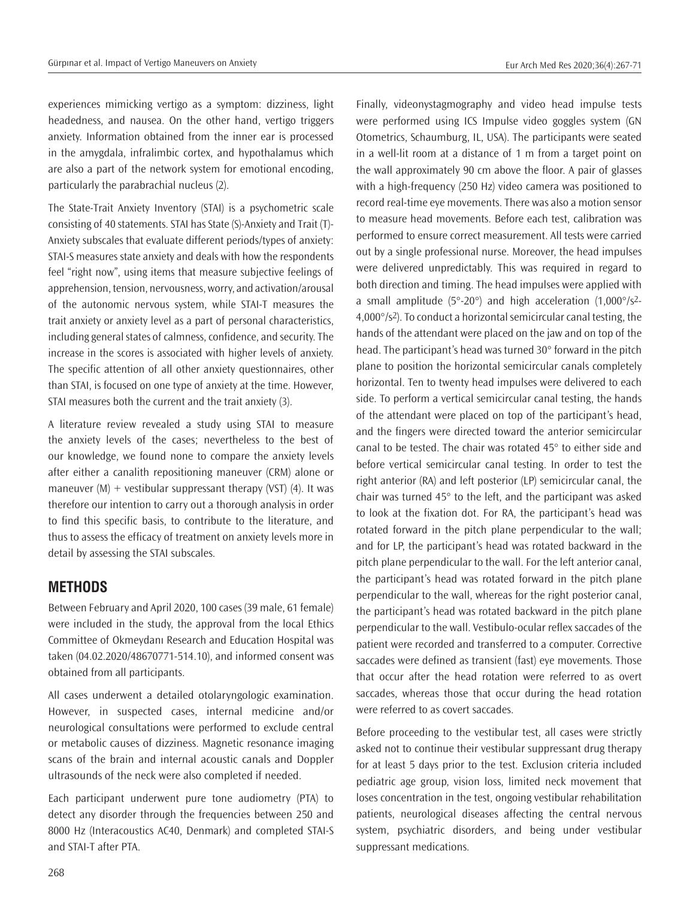experiences mimicking vertigo as a symptom: dizziness, light headedness, and nausea. On the other hand, vertigo triggers anxiety. Information obtained from the inner ear is processed in the amygdala, infralimbic cortex, and hypothalamus which are also a part of the network system for emotional encoding, particularly the parabrachial nucleus (2).

The State-Trait Anxiety Inventory (STAI) is a psychometric scale consisting of 40 statements. STAI has State (S)-Anxiety and Trait (T)- Anxiety subscales that evaluate different periods/types of anxiety: STAI-S measures state anxiety and deals with how the respondents feel "right now", using items that measure subjective feelings of apprehension, tension, nervousness, worry, and activation/arousal of the autonomic nervous system, while STAI-T measures the trait anxiety or anxiety level as a part of personal characteristics, including general states of calmness, confidence, and security. The increase in the scores is associated with higher levels of anxiety. The specific attention of all other anxiety questionnaires, other than STAI, is focused on one type of anxiety at the time. However, STAI measures both the current and the trait anxiety (3).

A literature review revealed a study using STAI to measure the anxiety levels of the cases; nevertheless to the best of our knowledge, we found none to compare the anxiety levels after either a canalith repositioning maneuver (CRM) alone or maneuver  $(M)$  + vestibular suppressant therapy (VST) (4). It was therefore our intention to carry out a thorough analysis in order to find this specific basis, to contribute to the literature, and thus to assess the efficacy of treatment on anxiety levels more in detail by assessing the STAI subscales.

## **METHODS**

Between February and April 2020, 100 cases (39 male, 61 female) were included in the study, the approval from the local Ethics Committee of Okmeydanı Research and Education Hospital was taken (04.02.2020/48670771-514.10), and informed consent was obtained from all participants.

All cases underwent a detailed otolaryngologic examination. However, in suspected cases, internal medicine and/or neurological consultations were performed to exclude central or metabolic causes of dizziness. Magnetic resonance imaging scans of the brain and internal acoustic canals and Doppler ultrasounds of the neck were also completed if needed.

Each participant underwent pure tone audiometry (PTA) to detect any disorder through the frequencies between 250 and 8000 Hz (Interacoustics AC40, Denmark) and completed STAI-S and STAI-T after PTA.

Finally, videonystagmography and video head impulse tests were performed using ICS Impulse video goggles system (GN Otometrics, Schaumburg, IL, USA). The participants were seated in a well-lit room at a distance of 1 m from a target point on the wall approximately 90 cm above the floor. A pair of glasses with a high-frequency (250 Hz) video camera was positioned to record real-time eye movements. There was also a motion sensor to measure head movements. Before each test, calibration was performed to ensure correct measurement. All tests were carried out by a single professional nurse. Moreover, the head impulses were delivered unpredictably. This was required in regard to both direction and timing. The head impulses were applied with a small amplitude ( $5^{\circ}$ -20 $^{\circ}$ ) and high acceleration (1,000 $^{\circ}$ /s<sup>2</sup>-4,000°/s2). To conduct a horizontal semicircular canal testing, the hands of the attendant were placed on the jaw and on top of the head. The participant's head was turned 30° forward in the pitch plane to position the horizontal semicircular canals completely horizontal. Ten to twenty head impulses were delivered to each side. To perform a vertical semicircular canal testing, the hands of the attendant were placed on top of the participant's head, and the fingers were directed toward the anterior semicircular canal to be tested. The chair was rotated 45° to either side and before vertical semicircular canal testing. In order to test the right anterior (RA) and left posterior (LP) semicircular canal, the chair was turned 45° to the left, and the participant was asked to look at the fixation dot. For RA, the participant's head was rotated forward in the pitch plane perpendicular to the wall; and for LP, the participant's head was rotated backward in the pitch plane perpendicular to the wall. For the left anterior canal, the participant's head was rotated forward in the pitch plane perpendicular to the wall, whereas for the right posterior canal, the participant's head was rotated backward in the pitch plane perpendicular to the wall. Vestibulo-ocular reflex saccades of the patient were recorded and transferred to a computer. Corrective saccades were defined as transient (fast) eye movements. Those that occur after the head rotation were referred to as overt saccades, whereas those that occur during the head rotation were referred to as covert saccades.

Before proceeding to the vestibular test, all cases were strictly asked not to continue their vestibular suppressant drug therapy for at least 5 days prior to the test. Exclusion criteria included pediatric age group, vision loss, limited neck movement that loses concentration in the test, ongoing vestibular rehabilitation patients, neurological diseases affecting the central nervous system, psychiatric disorders, and being under vestibular suppressant medications.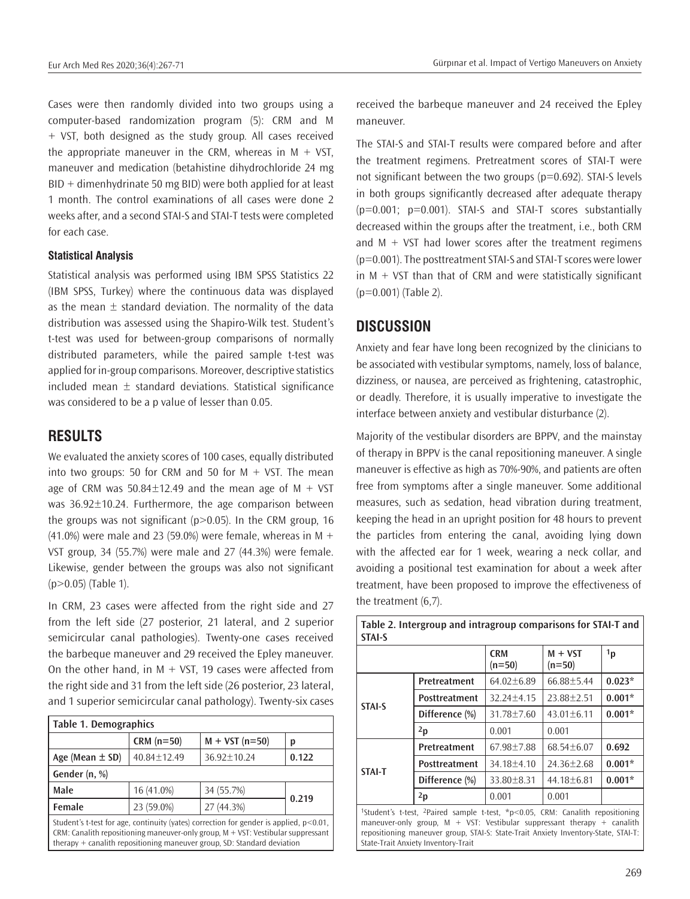Eur Arch Med Res 2020;36(4):267-71 **Eur Arch Med Res 2020;36(4):267-71** Eur Arch Med Res 2020;36(4):267-71

Cases were then randomly divided into two groups using a computer-based randomization program (5): CRM and M + VST, both designed as the study group. All cases received the appropriate maneuver in the CRM, whereas in  $M + VST$ , maneuver and medication (betahistine dihydrochloride 24 mg  $BID + dimenhydrinate 50 mg BID)$  were both applied for at least 1 month. The control examinations of all cases were done 2 weeks after, and a second STAI-S and STAI-T tests were completed for each case.

#### **Statistical Analysis**

Statistical analysis was performed using IBM SPSS Statistics 22 (IBM SPSS, Turkey) where the continuous data was displayed as the mean  $\pm$  standard deviation. The normality of the data distribution was assessed using the Shapiro-Wilk test. Student's t-test was used for between-group comparisons of normally distributed parameters, while the paired sample t-test was applied for in-group comparisons. Moreover, descriptive statistics included mean  $\pm$  standard deviations. Statistical significance was considered to be a p value of lesser than 0.05.

## **RESULTS**

We evaluated the anxiety scores of 100 cases, equally distributed into two groups: 50 for CRM and 50 for  $M + VST$ . The mean age of CRM was  $50.84 \pm 12.49$  and the mean age of M + VST was 36.92±10.24. Furthermore, the age comparison between the groups was not significant (p>0.05). In the CRM group, 16  $(41.0%)$  were male and 23 (59.0%) were female, whereas in M + VST group, 34 (55.7%) were male and 27 (44.3%) were female. Likewise, gender between the groups was also not significant (p>0.05) (Table 1).

In CRM, 23 cases were affected from the right side and 27 from the left side (27 posterior, 21 lateral, and 2 superior semicircular canal pathologies). Twenty-one cases received the barbeque maneuver and 29 received the Epley maneuver. On the other hand, in  $M + VST$ , 19 cases were affected from the right side and 31 from the left side (26 posterior, 23 lateral, and 1 superior semicircular canal pathology). Twenty-six cases

| <b>Table 1. Demographics</b>                                                                                                                                                                                                                                  |             |                  |       |  |  |  |
|---------------------------------------------------------------------------------------------------------------------------------------------------------------------------------------------------------------------------------------------------------------|-------------|------------------|-------|--|--|--|
|                                                                                                                                                                                                                                                               | $CRM(n=50)$ | $M + VST (n=50)$ | p     |  |  |  |
| Age (Mean $\pm$ SD)                                                                                                                                                                                                                                           | 40.84±12.49 | 36.92±10.24      | 0.122 |  |  |  |
| Gender (n, %)                                                                                                                                                                                                                                                 |             |                  |       |  |  |  |
| Male                                                                                                                                                                                                                                                          | 16 (41.0%)  | 34 (55.7%)       |       |  |  |  |
| Female                                                                                                                                                                                                                                                        | 23 (59.0%)  | 27 (44.3%)       | 0.219 |  |  |  |
| Student's t-test for age, continuity (vates) correction for gender is applied, $p<0.01$ ,<br>CRM: Canalith repositioning maneuver-only group, $M + VST$ : Vestibular suppressant<br>therapy $+$ canalith repositioning maneuver group, SD: Standard deviation |             |                  |       |  |  |  |

received the barbeque maneuver and 24 received the Epley maneuver.

The STAI-S and STAI-T results were compared before and after the treatment regimens. Pretreatment scores of STAI-T were not significant between the two groups (p=0.692). STAI-S levels in both groups significantly decreased after adequate therapy (p=0.001; p=0.001). STAI-S and STAI-T scores substantially decreased within the groups after the treatment, i.e., both CRM and  $M + VST$  had lower scores after the treatment regimens (p=0.001). The posttreatment STAI-S and STAI-T scores were lower in  $M + VST$  than that of CRM and were statistically significant (p=0.001) (Table 2).

# **DISCUSSION**

Anxiety and fear have long been recognized by the clinicians to be associated with vestibular symptoms, namely, loss of balance, dizziness, or nausea, are perceived as frightening, catastrophic, or deadly. Therefore, it is usually imperative to investigate the interface between anxiety and vestibular disturbance (2).

Majority of the vestibular disorders are BPPV, and the mainstay of therapy in BPPV is the canal repositioning maneuver. A single maneuver is effective as high as 70%-90%, and patients are often free from symptoms after a single maneuver. Some additional measures, such as sedation, head vibration during treatment, keeping the head in an upright position for 48 hours to prevent the particles from entering the canal, avoiding lying down with the affected ear for 1 week, wearing a neck collar, and avoiding a positional test examination for about a week after treatment, have been proposed to improve the effectiveness of the treatment (6,7).

| <b>STAI-S</b>                                                                              |                      |                        |                       |                |  |  |
|--------------------------------------------------------------------------------------------|----------------------|------------------------|-----------------------|----------------|--|--|
|                                                                                            |                      | <b>CRM</b><br>$(n=50)$ | $M + VST$<br>$(n=50)$ | 1 <sub>p</sub> |  |  |
| <b>STAI-S</b>                                                                              | Pretreatment         | $64.02 \pm 6.89$       | 66.88±5.44            | $0.023*$       |  |  |
|                                                                                            | Posttreatment        | $32.24 + 4.15$         | $23.88 + 2.51$        | $0.001*$       |  |  |
|                                                                                            | Difference (%)       | 31.78±7.60             | $43.01 \pm 6.11$      | $0.001*$       |  |  |
|                                                                                            | 2p                   | 0.001                  | 0.001                 |                |  |  |
| <b>STAI-T</b>                                                                              | Pretreatment         | 67.98 + 7.88           | $68.54 + 6.07$        | 0.692          |  |  |
|                                                                                            | <b>Posttreatment</b> | $34.18 + 4.10$         | $24.36 + 2.68$        | $0.001*$       |  |  |
|                                                                                            | Difference (%)       | 33.80±8.31             | 44.18±6.81            | $0.001*$       |  |  |
|                                                                                            | 2p                   | 0.001                  | 0.001                 |                |  |  |
| $10$ tudent's t test $2p$ ired sample t test $\pi$ $\geq 0.05$ CDM: Canalith repositioning |                      |                        |                       |                |  |  |

1Student's t-test, 2Paired sample t-test, \*p<0.05, CRM: Canalith repositioning maneuver-only group,  $M + VST$ : Vestibular suppressant therapy + canalith repositioning maneuver group, STAI-S: State-Trait Anxiety Inventory-State, STAI-T: State-Trait Anxiety Inventory-Trait

**Table 2. Intergroup and intragroup comparisons for STAI-T and**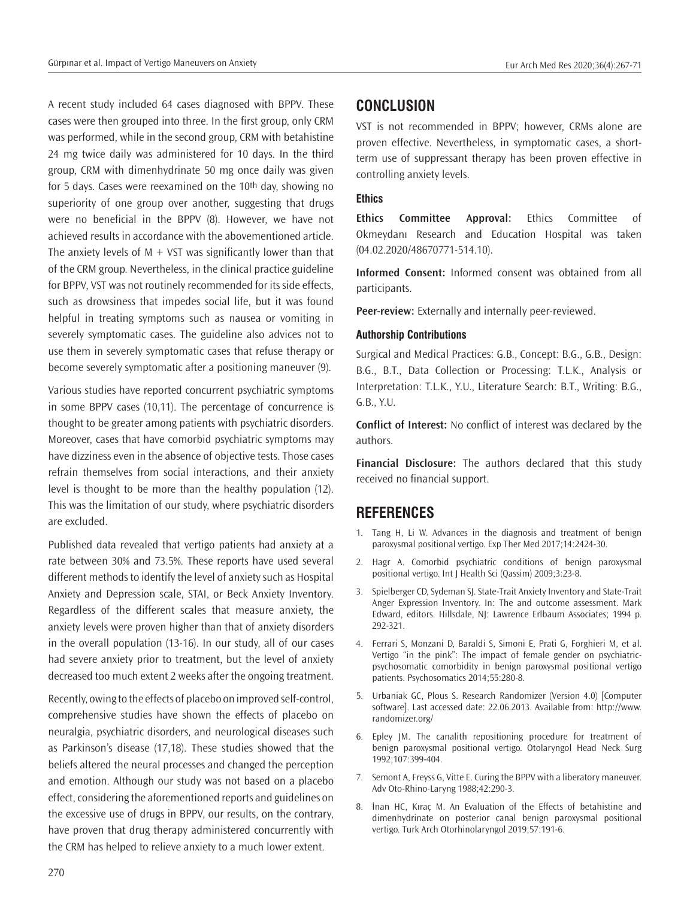A recent study included 64 cases diagnosed with BPPV. These cases were then grouped into three. In the first group, only CRM was performed, while in the second group, CRM with betahistine 24 mg twice daily was administered for 10 days. In the third group, CRM with dimenhydrinate 50 mg once daily was given for 5 days. Cases were reexamined on the 10th day, showing no superiority of one group over another, suggesting that drugs were no beneficial in the BPPV (8). However, we have not achieved results in accordance with the abovementioned article. The anxiety levels of  $M + VST$  was significantly lower than that of the CRM group. Nevertheless, in the clinical practice guideline for BPPV, VST was not routinely recommended for its side effects, such as drowsiness that impedes social life, but it was found helpful in treating symptoms such as nausea or vomiting in severely symptomatic cases. The guideline also advices not to use them in severely symptomatic cases that refuse therapy or become severely symptomatic after a positioning maneuver (9).

Various studies have reported concurrent psychiatric symptoms in some BPPV cases (10,11). The percentage of concurrence is thought to be greater among patients with psychiatric disorders. Moreover, cases that have comorbid psychiatric symptoms may have dizziness even in the absence of objective tests. Those cases refrain themselves from social interactions, and their anxiety level is thought to be more than the healthy population (12). This was the limitation of our study, where psychiatric disorders are excluded.

Published data revealed that vertigo patients had anxiety at a rate between 30% and 73.5%. These reports have used several different methods to identify the level of anxiety such as Hospital Anxiety and Depression scale, STAI, or Beck Anxiety Inventory. Regardless of the different scales that measure anxiety, the anxiety levels were proven higher than that of anxiety disorders in the overall population (13-16). In our study, all of our cases had severe anxiety prior to treatment, but the level of anxiety decreased too much extent 2 weeks after the ongoing treatment.

Recently, owing to the effects of placebo on improved self-control, comprehensive studies have shown the effects of placebo on neuralgia, psychiatric disorders, and neurological diseases such as Parkinson's disease (17,18). These studies showed that the beliefs altered the neural processes and changed the perception and emotion. Although our study was not based on a placebo effect, considering the aforementioned reports and guidelines on the excessive use of drugs in BPPV, our results, on the contrary, have proven that drug therapy administered concurrently with the CRM has helped to relieve anxiety to a much lower extent.

## **CONCLUSION**

VST is not recommended in BPPV; however, CRMs alone are proven effective. Nevertheless, in symptomatic cases, a shortterm use of suppressant therapy has been proven effective in controlling anxiety levels.

#### **Ethics**

**Ethics Committee Approval:** Ethics Committee of Okmeydanı Research and Education Hospital was taken (04.02.2020/48670771-514.10).

**Informed Consent:** Informed consent was obtained from all participants.

**Peer-review:** Externally and internally peer-reviewed.

#### **Authorship Contributions**

Surgical and Medical Practices: G.B., Concept: B.G., G.B., Design: B.G., B.T., Data Collection or Processing: T.L.K., Analysis or Interpretation: T.L.K., Y.U., Literature Search: B.T., Writing: B.G., G.B., Y.U.

**Conflict of Interest:** No conflict of interest was declared by the authors.

**Financial Disclosure:** The authors declared that this study received no financial support.

## **REFERENCES**

- 1. Tang H, Li W. Advances in the diagnosis and treatment of benign paroxysmal positional vertigo. Exp Ther Med 2017;14:2424-30.
- 2. Hagr A. Comorbid psychiatric conditions of benign paroxysmal positional vertigo. Int J Health Sci (Qassim) 2009;3:23-8.
- 3. Spielberger CD, Sydeman SJ. State-Trait Anxiety Inventory and State-Trait Anger Expression Inventory. In: The and outcome assessment. Mark Edward, editors. Hillsdale, NJ: Lawrence Erlbaum Associates; 1994 p. 292-321.
- 4. Ferrari S, Monzani D, Baraldi S, Simoni E, Prati G, Forghieri M, et al. Vertigo "in the pink": The impact of female gender on psychiatricpsychosomatic comorbidity in benign paroxysmal positional vertigo patients. Psychosomatics 2014;55:280-8.
- 5. Urbaniak GC, Plous S. Research Randomizer (Version 4.0) [Computer software]. Last accessed date: 22.06.2013. Available from: http://www. randomizer.org/
- 6. Epley JM. The canalith repositioning procedure for treatment of benign paroxysmal positional vertigo. Otolaryngol Head Neck Surg 1992;107:399-404.
- 7. Semont A, Freyss G, Vitte E. Curing the BPPV with a liberatory maneuver. Adv Oto-Rhino-Laryng 1988;42:290-3.
- 8. İnan HC, Kıraç M. An Evaluation of the Effects of betahistine and dimenhydrinate on posterior canal benign paroxysmal positional vertigo. Turk Arch Otorhinolaryngol 2019;57:191-6.